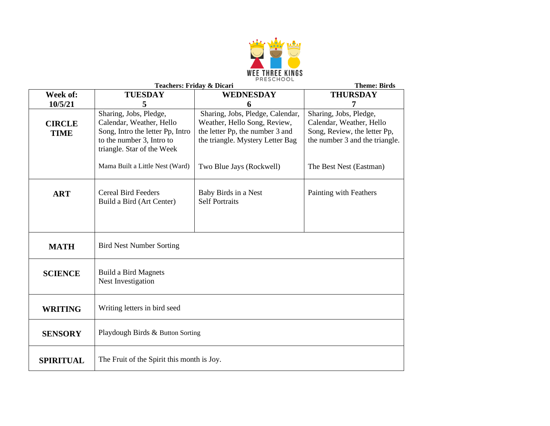

| Teachers: Friday & Dicari    |                                                                                                                                                   | <b>Theme: Birds</b>                                                                                                                     |                                                                                                                      |
|------------------------------|---------------------------------------------------------------------------------------------------------------------------------------------------|-----------------------------------------------------------------------------------------------------------------------------------------|----------------------------------------------------------------------------------------------------------------------|
| Week of:                     | <b>TUESDAY</b>                                                                                                                                    | <b>WEDNESDAY</b>                                                                                                                        | <b>THURSDAY</b>                                                                                                      |
| 10/5/21                      | 5                                                                                                                                                 | 6                                                                                                                                       | 7                                                                                                                    |
| <b>CIRCLE</b><br><b>TIME</b> | Sharing, Jobs, Pledge,<br>Calendar, Weather, Hello<br>Song, Intro the letter Pp, Intro<br>to the number 3, Intro to<br>triangle. Star of the Week | Sharing, Jobs, Pledge, Calendar,<br>Weather, Hello Song, Review,<br>the letter Pp, the number 3 and<br>the triangle. Mystery Letter Bag | Sharing, Jobs, Pledge,<br>Calendar, Weather, Hello<br>Song, Review, the letter Pp,<br>the number 3 and the triangle. |
|                              | Mama Built a Little Nest (Ward)                                                                                                                   | Two Blue Jays (Rockwell)                                                                                                                | The Best Nest (Eastman)                                                                                              |
| <b>ART</b>                   | <b>Cereal Bird Feeders</b><br>Build a Bird (Art Center)                                                                                           | Baby Birds in a Nest<br><b>Self Portraits</b>                                                                                           | Painting with Feathers                                                                                               |
| <b>MATH</b>                  | <b>Bird Nest Number Sorting</b>                                                                                                                   |                                                                                                                                         |                                                                                                                      |
| <b>SCIENCE</b>               | <b>Build a Bird Magnets</b><br>Nest Investigation                                                                                                 |                                                                                                                                         |                                                                                                                      |
| <b>WRITING</b>               | Writing letters in bird seed                                                                                                                      |                                                                                                                                         |                                                                                                                      |
| <b>SENSORY</b>               | Playdough Birds & Button Sorting                                                                                                                  |                                                                                                                                         |                                                                                                                      |
| <b>SPIRITUAL</b>             | The Fruit of the Spirit this month is Joy.                                                                                                        |                                                                                                                                         |                                                                                                                      |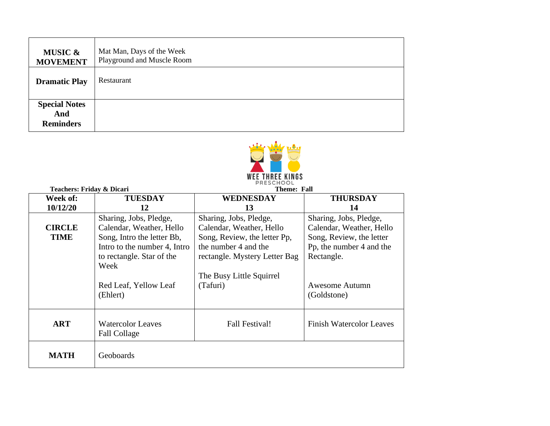| <b>MUSIC &amp;</b><br><b>MOVEMENT</b>           | Mat Man, Days of the Week<br>Playground and Muscle Room |
|-------------------------------------------------|---------------------------------------------------------|
| <b>Dramatic Play</b>                            | Restaurant                                              |
| <b>Special Notes</b><br>And<br><b>Reminders</b> |                                                         |



| Teachers: Friday & Dicari    |                                                                                                                                                                                            | Theme: Fall                                                                                                                                                                         |                                                                                                                                                           |
|------------------------------|--------------------------------------------------------------------------------------------------------------------------------------------------------------------------------------------|-------------------------------------------------------------------------------------------------------------------------------------------------------------------------------------|-----------------------------------------------------------------------------------------------------------------------------------------------------------|
| Week of:                     | <b>TUESDAY</b>                                                                                                                                                                             | WEDNESDAY                                                                                                                                                                           | <b>THURSDAY</b>                                                                                                                                           |
| 10/12/20                     | 12                                                                                                                                                                                         | 13                                                                                                                                                                                  | 14                                                                                                                                                        |
| <b>CIRCLE</b><br><b>TIME</b> | Sharing, Jobs, Pledge,<br>Calendar, Weather, Hello<br>Song, Intro the letter Bb,<br>Intro to the number 4, Intro<br>to rectangle. Star of the<br>Week<br>Red Leaf, Yellow Leaf<br>(Ehlert) | Sharing, Jobs, Pledge,<br>Calendar, Weather, Hello<br>Song, Review, the letter Pp,<br>the number 4 and the<br>rectangle. Mystery Letter Bag<br>The Busy Little Squirrel<br>(Tafuri) | Sharing, Jobs, Pledge,<br>Calendar, Weather, Hello<br>Song, Review, the letter<br>Pp, the number 4 and the<br>Rectangle.<br>Awesome Autumn<br>(Goldstone) |
| <b>ART</b>                   | <b>Watercolor Leaves</b><br><b>Fall Collage</b>                                                                                                                                            | <b>Fall Festival!</b>                                                                                                                                                               | <b>Finish Watercolor Leaves</b>                                                                                                                           |
| <b>MATH</b>                  | Geoboards                                                                                                                                                                                  |                                                                                                                                                                                     |                                                                                                                                                           |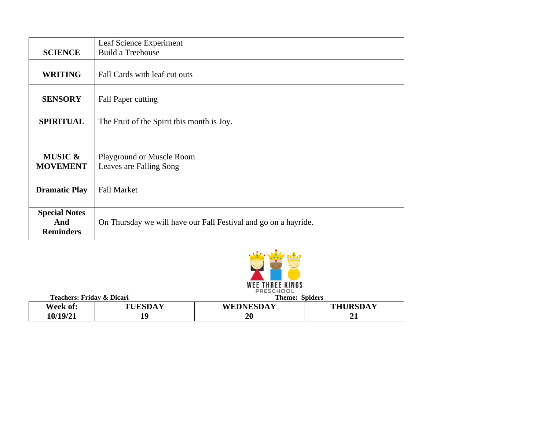|                                                 | Leaf Science Experiment                                         |  |
|-------------------------------------------------|-----------------------------------------------------------------|--|
| <b>SCIENCE</b>                                  | <b>Build a Treehouse</b>                                        |  |
| <b>WRITING</b>                                  | Fall Cards with leaf cut outs                                   |  |
| <b>SENSORY</b>                                  | <b>Fall Paper cutting</b>                                       |  |
| <b>SPIRITUAL</b>                                | The Fruit of the Spirit this month is Joy.                      |  |
| <b>MUSIC &amp;</b><br><b>MOVEMENT</b>           | <b>Playground or Muscle Room</b><br>Leaves are Falling Song     |  |
| <b>Dramatic Play</b>                            | <b>Fall Market</b>                                              |  |
| <b>Special Notes</b><br>And<br><b>Reminders</b> | On Thursday we will have our Fall Festival and go on a hayride. |  |



| Teachers: Friday & Dicari |         | .<br><b>Theme: Spiders</b> |                 |
|---------------------------|---------|----------------------------|-----------------|
| Week of:                  | TUESDAY | WEDNESDAY                  | <b>THURSDAY</b> |
| 10/19/21                  | 10      | 20                         |                 |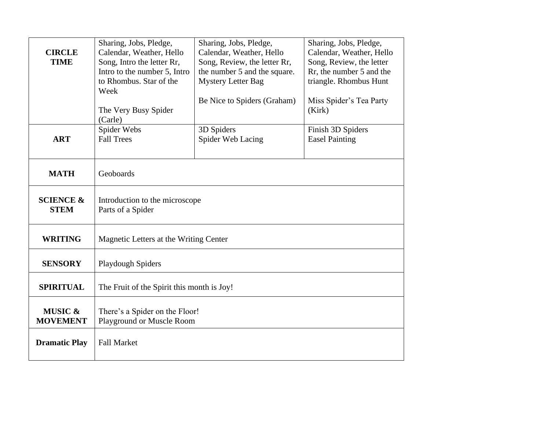| <b>CIRCLE</b><br><b>TIME</b>          | Sharing, Jobs, Pledge,<br>Calendar, Weather, Hello<br>Song, Intro the letter Rr,<br>Intro to the number 5, Intro<br>to Rhombus. Star of the<br>Week | Sharing, Jobs, Pledge,<br>Calendar, Weather, Hello<br>Song, Review, the letter Rr,<br>the number 5 and the square.<br><b>Mystery Letter Bag</b> | Sharing, Jobs, Pledge,<br>Calendar, Weather, Hello<br>Song, Review, the letter<br>Rr, the number 5 and the<br>triangle. Rhombus Hunt |
|---------------------------------------|-----------------------------------------------------------------------------------------------------------------------------------------------------|-------------------------------------------------------------------------------------------------------------------------------------------------|--------------------------------------------------------------------------------------------------------------------------------------|
|                                       | The Very Busy Spider<br>(Carle)                                                                                                                     | Be Nice to Spiders (Graham)                                                                                                                     | Miss Spider's Tea Party<br>(Kirk)                                                                                                    |
| <b>ART</b>                            | Spider Webs<br><b>Fall Trees</b>                                                                                                                    | 3D Spiders<br>Spider Web Lacing                                                                                                                 | Finish 3D Spiders<br><b>Easel Painting</b>                                                                                           |
| <b>MATH</b>                           | Geoboards                                                                                                                                           |                                                                                                                                                 |                                                                                                                                      |
| <b>SCIENCE &amp;</b><br><b>STEM</b>   | Introduction to the microscope<br>Parts of a Spider                                                                                                 |                                                                                                                                                 |                                                                                                                                      |
| <b>WRITING</b>                        | Magnetic Letters at the Writing Center                                                                                                              |                                                                                                                                                 |                                                                                                                                      |
| <b>SENSORY</b>                        | Playdough Spiders                                                                                                                                   |                                                                                                                                                 |                                                                                                                                      |
| <b>SPIRITUAL</b>                      | The Fruit of the Spirit this month is Joy!                                                                                                          |                                                                                                                                                 |                                                                                                                                      |
| <b>MUSIC &amp;</b><br><b>MOVEMENT</b> | There's a Spider on the Floor!<br>Playground or Muscle Room                                                                                         |                                                                                                                                                 |                                                                                                                                      |
| <b>Dramatic Play</b>                  | <b>Fall Market</b>                                                                                                                                  |                                                                                                                                                 |                                                                                                                                      |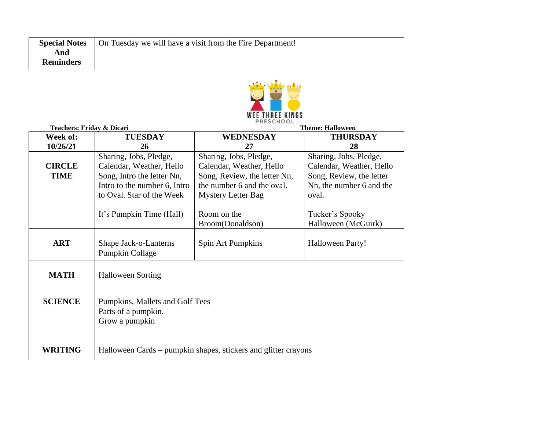| <b>Special Notes</b> | On Tuesday we will have a visit from the Fire Department! |
|----------------------|-----------------------------------------------------------|
| And                  |                                                           |
| <b>Reminders</b>     |                                                           |



| Teachers: Friday & Dicari |                                                                | <b>Theme: Halloween</b>      |                          |
|---------------------------|----------------------------------------------------------------|------------------------------|--------------------------|
| Week of:                  | <b>TUESDAY</b>                                                 | WEDNESDAY                    | <b>THURSDAY</b>          |
| 10/26/21                  | 26                                                             | 27                           | 28                       |
|                           | Sharing, Jobs, Pledge,                                         | Sharing, Jobs, Pledge,       | Sharing, Jobs, Pledge,   |
| <b>CIRCLE</b>             | Calendar, Weather, Hello                                       | Calendar, Weather, Hello     | Calendar, Weather, Hello |
| <b>TIME</b>               | Song, Intro the letter Nn,                                     | Song, Review, the letter Nn, | Song, Review, the letter |
|                           | Intro to the number 6, Intro                                   | the number 6 and the oval.   | Nn, the number 6 and the |
|                           | to Oval. Star of the Week                                      | <b>Mystery Letter Bag</b>    | oval.                    |
|                           |                                                                |                              |                          |
|                           | It's Pumpkin Time (Hall)                                       | Room on the                  | Tucker's Spooky          |
|                           |                                                                | Broom(Donaldson)             | Halloween (McGuirk)      |
|                           |                                                                |                              |                          |
| <b>ART</b>                | Shape Jack-o-Lanterns                                          | Spin Art Pumpkins            | <b>Halloween Party!</b>  |
|                           | <b>Pumpkin Collage</b>                                         |                              |                          |
|                           |                                                                |                              |                          |
|                           |                                                                |                              |                          |
| <b>MATH</b>               | <b>Halloween Sorting</b>                                       |                              |                          |
|                           |                                                                |                              |                          |
| <b>SCIENCE</b>            | Pumpkins, Mallets and Golf Tees                                |                              |                          |
|                           | Parts of a pumpkin.                                            |                              |                          |
|                           | Grow a pumpkin                                                 |                              |                          |
|                           |                                                                |                              |                          |
|                           |                                                                |                              |                          |
| <b>WRITING</b>            |                                                                |                              |                          |
|                           | Halloween Cards – pumpkin shapes, stickers and glitter crayons |                              |                          |